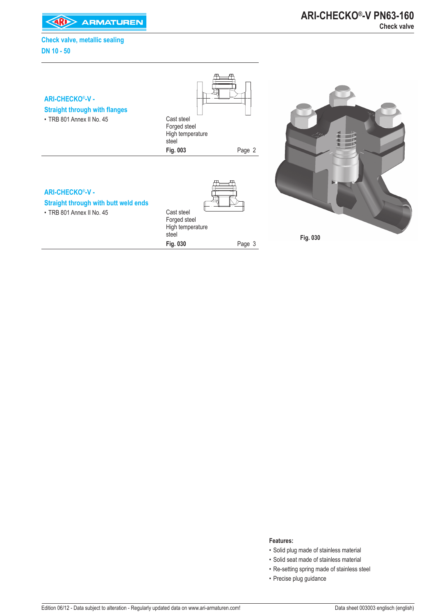**EXAMPLE ARMATUREN** 



#### **Features:**

- Solid plug made of stainless material
- Solid seat made of stainless material
- Re-setting spring made of stainless steel
- Precise plug guidance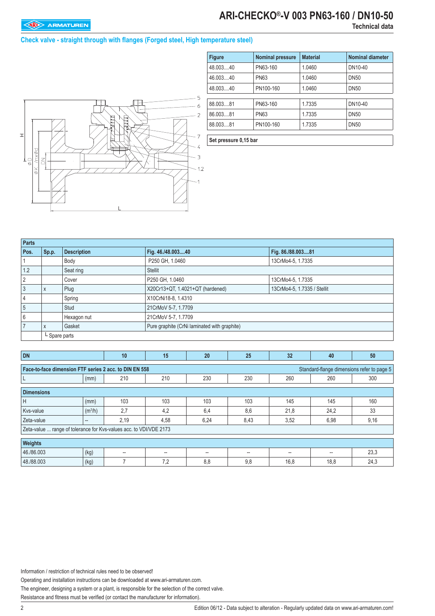# **ARI-CHECKO®-V 003 PN63-160 / DN10-50**

### **Check valve - straight through with flanges (Forged steel, High temperature steel)**



| <b>Figure</b> | <b>Nominal pressure</b> | <b>Material</b> | <b>Nominal diameter</b> |
|---------------|-------------------------|-----------------|-------------------------|
| 48.00340      | PN63-160                | 1.0460          | DN10-40                 |
| 46.00340      | <b>PN63</b>             | 1.0460          | <b>DN50</b>             |
| 48.00340      | PN100-160               | 1.0460          | <b>DN50</b>             |
| 88.003.81     | PN63-160                | 1.7335          | DN10-40                 |
| 86.003.81     | <b>PN63</b>             | 1.7335          | <b>DN50</b>             |
| 88.00381      | PN100-160               | 1.7335          | <b>DN50</b>             |

**Set pressure 0,15 bar**

| <b>Parts</b> |               |                    |                                              |                             |  |  |  |  |  |
|--------------|---------------|--------------------|----------------------------------------------|-----------------------------|--|--|--|--|--|
| Pos.         | Sp.p.         | <b>Description</b> | Fig. 46./48.00340                            | Fig. 86./88.00381           |  |  |  |  |  |
|              |               | Body               | P250 GH, 1.0460                              | 13CrMo4-5, 1.7335           |  |  |  |  |  |
| 1.2          |               | Seat ring          | <b>Stellit</b>                               |                             |  |  |  |  |  |
| 2            |               | Cover              | P250 GH, 1.0460                              | 13CrMo4-5, 1.7335           |  |  |  |  |  |
|              | X             | Plug               | X20Cr13+QT, 1.4021+QT (hardened)             | 13CrMo4-5, 1.7335 / Stellit |  |  |  |  |  |
|              |               | Spring             | X10CrNi18-8, 1.4310                          |                             |  |  |  |  |  |
| 5            |               | Stud               | 21CrMoV 5-7, 1.7709                          |                             |  |  |  |  |  |
|              |               | Hexagon nut        | 21CrMoV 5-7, 1.7709                          |                             |  |  |  |  |  |
|              | X             | Gasket             | Pure graphite (CrNi laminated with graphite) |                             |  |  |  |  |  |
|              | L Spare parts |                    |                                              |                             |  |  |  |  |  |

| <b>DN</b>                                                                                            |                     | 10                       | 15   | 20   | 25   | 32                | 40    | 50   |  |  |  |
|------------------------------------------------------------------------------------------------------|---------------------|--------------------------|------|------|------|-------------------|-------|------|--|--|--|
| Face-to-face dimension FTF series 2 acc. to DIN EN 558<br>Standard-flange dimensions refer to page 5 |                     |                          |      |      |      |                   |       |      |  |  |  |
|                                                                                                      | (mm)                | 210                      | 210  | 230  | 230  | 260               | 260   | 300  |  |  |  |
| <b>Dimensions</b>                                                                                    |                     |                          |      |      |      |                   |       |      |  |  |  |
| H                                                                                                    | (mm)                | 103                      | 103  | 103  | 103  | 145               | 145   | 160  |  |  |  |
| Kvs-value                                                                                            | (m <sup>3</sup> /h) | 2,7                      | 4.2  | 6.4  | 8,6  | 21,8              | 24,2  | 33   |  |  |  |
| Zeta-value                                                                                           | $\hspace{0.05cm}$   | 2,19                     | 4,58 | 6,24 | 8,43 | 3,52              | 6,98  | 9,16 |  |  |  |
| Zeta-value  range of tolerance for Kvs-values acc. to VDI/VDE 2173                                   |                     |                          |      |      |      |                   |       |      |  |  |  |
| Weights                                                                                              |                     |                          |      |      |      |                   |       |      |  |  |  |
| 46./86.003                                                                                           | (kg)                | $\overline{\phantom{a}}$ | --   | --   | $-$  | $\qquad \qquad -$ | $- -$ | 23,3 |  |  |  |
| 48./88.003                                                                                           | (kg)                |                          | 7,2  | 8,8  | 9,8  | 16,8              | 18,8  | 24,3 |  |  |  |

Information / restriction of technical rules need to be observed!

Operating and installation instructions can be downloaded at www.ari-armaturen.com.

The engineer, designing a system or a plant, is responsible for the selection of the correct valve.

Resistance and fitness must be verified (or contact the manufacturer for information).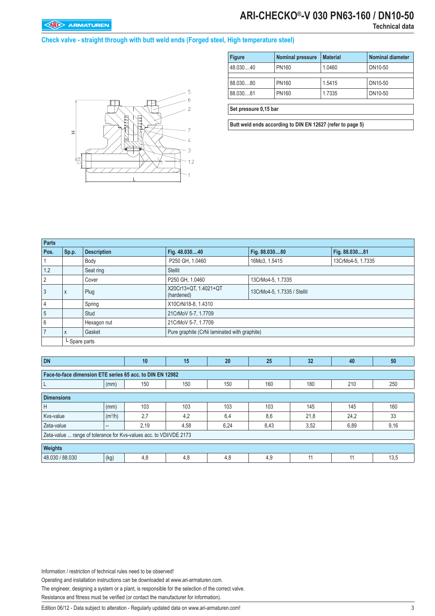## **ARI-CHECKO®-V 030 PN63-160 / DN10-50**

### **Check valve - straight through with butt weld ends (Forged steel, High temperature steel)**



| <b>Figure</b>         | <b>Nominal pressure</b> | <b>Material</b> | <b>Nominal diameter</b> |  |  |  |  |  |
|-----------------------|-------------------------|-----------------|-------------------------|--|--|--|--|--|
| 48.03040              | <b>PN160</b>            | 1.0460          | DN10-50                 |  |  |  |  |  |
|                       |                         |                 |                         |  |  |  |  |  |
| 88.03080              | <b>PN160</b>            | 1.5415          | DN10-50                 |  |  |  |  |  |
| 88.03081              | PN160                   | 1.7335          | DN10-50                 |  |  |  |  |  |
|                       |                         |                 |                         |  |  |  |  |  |
| Set pressure 0,15 bar |                         |                 |                         |  |  |  |  |  |

**Butt weld ends according to DIN EN 12627 (refer to page 5)**

| <b>Parts</b>   |               |                    |                                              |                             |                   |  |  |  |  |
|----------------|---------------|--------------------|----------------------------------------------|-----------------------------|-------------------|--|--|--|--|
| Pos.           | Sp.p.         | <b>Description</b> | Fig. 48.03040                                | Fig. 88.03080               | Fig. 88.03081     |  |  |  |  |
|                |               | Body               | P250 GH, 1.0460                              | 16Mo3, 1.5415               | 13CrMo4-5, 1.7335 |  |  |  |  |
| 1.2            |               | Seat ring          | Stellit                                      |                             |                   |  |  |  |  |
| $\overline{2}$ |               | Cover              | P250 GH, 1.0460                              | 13CrMo4-5, 1.7335           |                   |  |  |  |  |
| 3              | X             | Plug               | X20Cr13+QT, 1.4021+QT<br>(hardened)          | 13CrMo4-5, 1.7335 / Stellit |                   |  |  |  |  |
| $\overline{4}$ |               | Spring             | X10CrNi18-8, 1.4310                          |                             |                   |  |  |  |  |
| $5\phantom{1}$ |               | Stud               | 21CrMoV 5-7, 1.7709                          |                             |                   |  |  |  |  |
| 6              |               | Hexagon nut        | 21CrMoV 5-7, 1.7709                          |                             |                   |  |  |  |  |
|                | X             | Gasket             | Pure graphite (CrNi laminated with graphite) |                             |                   |  |  |  |  |
|                | L Spare parts |                    |                                              |                             |                   |  |  |  |  |

| <b>DN</b>                                                          |                     | 10   | 15   | 20   | 25   | 32   | 40   | 50   |  |  |
|--------------------------------------------------------------------|---------------------|------|------|------|------|------|------|------|--|--|
| Face-to-face dimension ETE series 65 acc. to DIN EN 12982          |                     |      |      |      |      |      |      |      |  |  |
|                                                                    | (mm)                | 150  | 150  | 150  | 160  | 180  | 210  | 250  |  |  |
| <b>Dimensions</b>                                                  |                     |      |      |      |      |      |      |      |  |  |
| н                                                                  | (mm)                | 103  | 103  | 103  | 103  | 145  | 145  | 160  |  |  |
| Kvs-value                                                          | (m <sup>3</sup> /h) | 2,7  | 4.2  | 6.4  | 8.6  | 21,8 | 24,2 | 33   |  |  |
| Zeta-value                                                         | $-$                 | 2,19 | 4,58 | 6,24 | 8,43 | 3,52 | 6,89 | 9,16 |  |  |
| Zeta-value  range of tolerance for Kvs-values acc. to VDI/VDE 2173 |                     |      |      |      |      |      |      |      |  |  |
| Weights                                                            |                     |      |      |      |      |      |      |      |  |  |
| 48.030 / 88.030                                                    | (kg)                | 4,8  | 4,8  | 4,8  | 4,9  | 11   | 11   | 13,5 |  |  |

Information / restriction of technical rules need to be observed!

Operating and installation instructions can be downloaded at www.ari-armaturen.com.

The engineer, designing a system or a plant, is responsible for the selection of the correct valve.

Resistance and fitness must be verified (or contact the manufacturer for information).